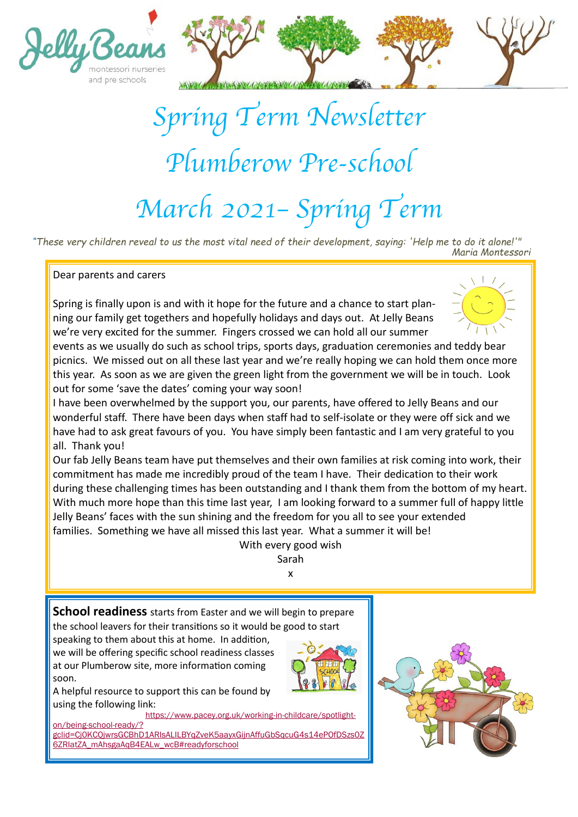



# *Spring Term Newsletter Plumberow Pre-school March 2021– Spring Term*

*"These very children reveal to us the most vital need of their development, saying: 'Help me to do it alone!'" Maria Montessori*

## Dear parents and carers

Spring is finally upon is and with it hope for the future and a chance to start planning our family get togethers and hopefully holidays and days out. At Jelly Beans we're very excited for the summer. Fingers crossed we can hold all our summer



events as we usually do such as school trips, sports days, graduation ceremonies and teddy bear picnics. We missed out on all these last year and we're really hoping we can hold them once more this year. As soon as we are given the green light from the government we will be in touch. Look out for some 'save the dates' coming your way soon!

I have been overwhelmed by the support you, our parents, have offered to Jelly Beans and our wonderful staff. There have been days when staff had to self-isolate or they were off sick and we have had to ask great favours of you. You have simply been fantastic and I am very grateful to you all. Thank you!

Our fab Jelly Beans team have put themselves and their own families at risk coming into work, their commitment has made me incredibly proud of the team I have. Their dedication to their work during these challenging times has been outstanding and I thank them from the bottom of my heart. With much more hope than this time last year, I am looking forward to a summer full of happy little Jelly Beans' faces with the sun shining and the freedom for you all to see your extended families. Something we have all missed this last year. What a summer it will be!

With every good wish Sarah

x

**School readiness** starts from Easter and we will begin to prepare the school leavers for their transitions so it would be good to start

speaking to them about this at home. In addition, we will be offering specific school readiness classes at our Plumberow site, more information coming soon.

A helpful resource to support this can be found by using the following link:



 [https://www.pacey.org.uk/working-in-childcare/spotlight](https://www.pacey.org.uk/working-in-childcare/spotlight-on/being-school-ready/?gclid=Cj0KCQjwrsGCBhD1ARIsALILBYqZveK5aayxGijnAffuGbSqcuG4s14ePOfDSzs0Z6ZRIatZA_mAhsgaAqB4EALw_wcB#readyforschool)[on/being-school-ready/?](https://www.pacey.org.uk/working-in-childcare/spotlight-on/being-school-ready/?gclid=Cj0KCQjwrsGCBhD1ARIsALILBYqZveK5aayxGijnAffuGbSqcuG4s14ePOfDSzs0Z6ZRIatZA_mAhsgaAqB4EALw_wcB#readyforschool) [gclid=Cj0KCQjwrsGCBhD1ARIsALILBYqZveK5aayxGijnAffuGbSqcuG4s14ePOfDSzs0Z](https://www.pacey.org.uk/working-in-childcare/spotlight-on/being-school-ready/?gclid=Cj0KCQjwrsGCBhD1ARIsALILBYqZveK5aayxGijnAffuGbSqcuG4s14ePOfDSzs0Z6ZRIatZA_mAhsgaAqB4EALw_wcB#readyforschool) [6ZRIatZA\\_mAhsgaAqB4EALw\\_wcB#readyforschool](https://www.pacey.org.uk/working-in-childcare/spotlight-on/being-school-ready/?gclid=Cj0KCQjwrsGCBhD1ARIsALILBYqZveK5aayxGijnAffuGbSqcuG4s14ePOfDSzs0Z6ZRIatZA_mAhsgaAqB4EALw_wcB#readyforschool)